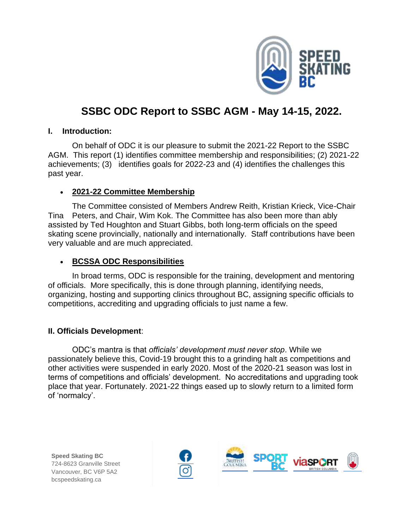

# **SSBC ODC Report to SSBC AGM - May 14-15, 2022.**

#### **I. Introduction:**

On behalf of ODC it is our pleasure to submit the 2021-22 Report to the SSBC AGM. This report (1) identifies committee membership and responsibilities; (2) 2021-22 achievements; (3) identifies goals for 2022-23 and (4) identifies the challenges this past year.

## • **2021-22 Committee Membership**

The Committee consisted of Members Andrew Reith, Kristian Krieck, Vice-Chair Tina Peters, and Chair, Wim Kok. The Committee has also been more than ably assisted by Ted Houghton and Stuart Gibbs, both long-term officials on the speed skating scene provincially, nationally and internationally. Staff contributions have been very valuable and are much appreciated.

## • **BCSSA ODC Responsibilities**

In broad terms, ODC is responsible for the training, development and mentoring of officials. More specifically, this is done through planning, identifying needs, organizing, hosting and supporting clinics throughout BC, assigning specific officials to competitions, accrediting and upgrading officials to just name a few.

## **II. Officials Development**:

ODC's mantra is that *officials' development must never stop*. While we passionately believe this, Covid-19 brought this to a grinding halt as competitions and other activities were suspended in early 2020. Most of the 2020-21 season was lost in terms of competitions and officials' development. No accreditations and upgrading took place that year. Fortunately. 2021-22 things eased up to slowly return to a limited form of 'normalcy'.



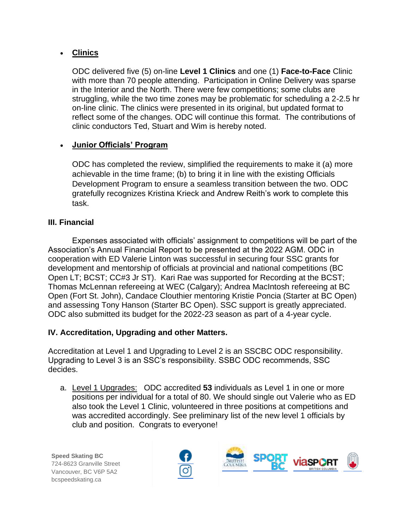# • **Clinics**

ODC delivered five (5) on-line **Level 1 Clinics** and one (1) **Face-to-Face** Clinic with more than 70 people attending. Participation in Online Delivery was sparse in the Interior and the North. There were few competitions; some clubs are struggling, while the two time zones may be problematic for scheduling a 2-2.5 hr on-line clinic. The clinics were presented in its original, but updated format to reflect some of the changes. ODC will continue this format. The contributions of clinic conductors Ted, Stuart and Wim is hereby noted.

# • **Junior Officials' Program**

ODC has completed the review, simplified the requirements to make it (a) more achievable in the time frame; (b) to bring it in line with the existing Officials Development Program to ensure a seamless transition between the two. ODC gratefully recognizes Kristina Krieck and Andrew Reith's work to complete this task.

## **III. Financial**

Expenses associated with officials' assignment to competitions will be part of the Association's Annual Financial Report to be presented at the 2022 AGM. ODC in cooperation with ED Valerie Linton was successful in securing four SSC grants for development and mentorship of officials at provincial and national competitions (BC Open LT; BCST; CC#3 Jr ST). Kari Rae was supported for Recording at the BCST; Thomas McLennan refereeing at WEC (Calgary); Andrea MacIntosh refereeing at BC Open (Fort St. John), Candace Clouthier mentoring Kristie Poncia (Starter at BC Open) and assessing Tony Hanson (Starter BC Open). SSC support is greatly appreciated. ODC also submitted its budget for the 2022-23 season as part of a 4-year cycle.

## **IV. Accreditation, Upgrading and other Matters.**

Accreditation at Level 1 and Upgrading to Level 2 is an SSCBC ODC responsibility. Upgrading to Level 3 is an SSC's responsibility. SSBC ODC recommends, SSC decides.

a. Level 1 Upgrades: ODC accredited **53** individuals as Level 1 in one or more positions per individual for a total of 80. We should single out Valerie who as ED also took the Level 1 Clinic, volunteered in three positions at competitions and was accredited accordingly. See preliminary list of the new level 1 officials by club and position. Congrats to everyone!



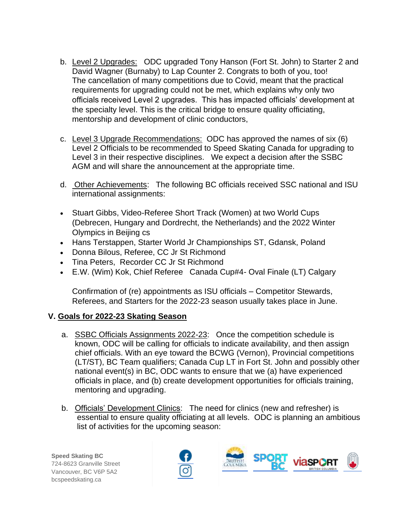- b. Level 2 Upgrades: ODC upgraded Tony Hanson (Fort St. John) to Starter 2 and David Wagner (Burnaby) to Lap Counter 2. Congrats to both of you, too! The cancellation of many competitions due to Covid, meant that the practical requirements for upgrading could not be met, which explains why only two officials received Level 2 upgrades. This has impacted officials' development at the specialty level. This is the critical bridge to ensure quality officiating, mentorship and development of clinic conductors,
- c. Level 3 Upgrade Recommendations: ODC has approved the names of six (6) Level 2 Officials to be recommended to Speed Skating Canada for upgrading to Level 3 in their respective disciplines. We expect a decision after the SSBC AGM and will share the announcement at the appropriate time.
- d. Other Achievements: The following BC officials received SSC national and ISU international assignments:
- Stuart Gibbs, Video-Referee Short Track (Women) at two World Cups (Debrecen, Hungary and Dordrecht, the Netherlands) and the 2022 Winter Olympics in Beijing cs
- Hans Terstappen, Starter World Jr Championships ST, Gdansk, Poland
- Donna Bilous, Referee, CC Jr St Richmond
- Tina Peters, Recorder CC Jr St Richmond
- E.W. (Wim) Kok, Chief Referee Canada Cup#4- Oval Finale (LT) Calgary

Confirmation of (re) appointments as ISU officials – Competitor Stewards, Referees, and Starters for the 2022-23 season usually takes place in June.

## **V. Goals for 2022-23 Skating Season**

- a. SSBC Officials Assignments 2022-23: Once the competition schedule is known, ODC will be calling for officials to indicate availability, and then assign chief officials. With an eye toward the BCWG (Vernon), Provincial competitions (LT/ST), BC Team qualifiers; Canada Cup LT in Fort St. John and possibly other national event(s) in BC, ODC wants to ensure that we (a) have experienced officials in place, and (b) create development opportunities for officials training, mentoring and upgrading.
- b. Officials' Development Clinics: The need for clinics (new and refresher) is essential to ensure quality officiating at all levels. ODC is planning an ambitious list of activities for the upcoming season:



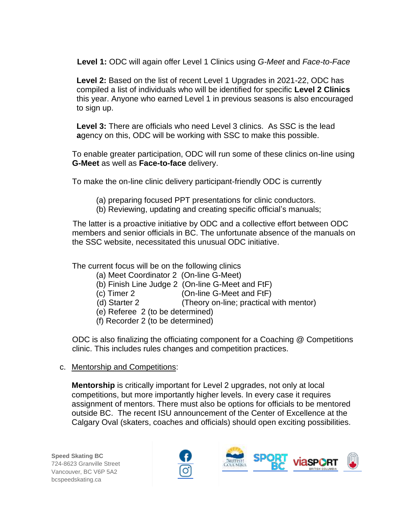**Level 1:** ODC will again offer Level 1 Clinics using *G-Meet* and *Face-to-Face*

 **Level 2:** Based on the list of recent Level 1 Upgrades in 2021-22, ODC has compiled a list of individuals who will be identified for specific **Level 2 Clinics** this year. Anyone who earned Level 1 in previous seasons is also encouraged to sign up.

 **Level 3:** There are officials who need Level 3 clinics. As SSC is the lead  **a**gency on this, ODC will be working with SSC to make this possible.

To enable greater participation, ODC will run some of these clinics on-line using **G-Meet** as well as **Face-to-face** delivery.

To make the on-line clinic delivery participant-friendly ODC is currently

(a) preparing focused PPT presentations for clinic conductors.

(b) Reviewing, updating and creating specific official's manuals;

 The latter is a proactive initiative by ODC and a collective effort between ODC members and senior officials in BC. The unfortunate absence of the manuals on the SSC website, necessitated this unusual ODC initiative.

The current focus will be on the following clinics

- (a) Meet Coordinator 2 (On-line G-Meet)
- (b) Finish Line Judge 2 (On-line G-Meet and FtF)
- (c) Timer 2 (On-line G-Meet and FtF)
- (d) Starter 2 (Theory on-line; practical with mentor)
- (e) Referee 2 (to be determined)
- (f) Recorder 2 (to be determined)

ODC is also finalizing the officiating component for a Coaching @ Competitions clinic. This includes rules changes and competition practices.

c. Mentorship and Competitions:

**Mentorship** is critically important for Level 2 upgrades, not only at local competitions, but more importantly higher levels. In every case it requires assignment of mentors. There must also be options for officials to be mentored outside BC. The recent ISU announcement of the Center of Excellence at the Calgary Oval (skaters, coaches and officials) should open exciting possibilities.